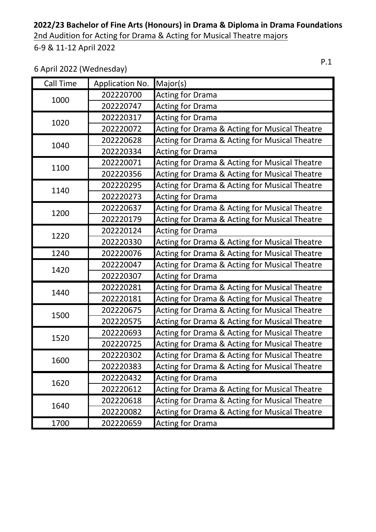2nd Audition for Acting for Drama & Acting for Musical Theatre majors

6-9 & 11-12 April 2022

### 6 April 2022 (Wednesday)

| Call Time | Application No. | Major(s)                                                 |
|-----------|-----------------|----------------------------------------------------------|
| 1000      | 202220700       | <b>Acting for Drama</b>                                  |
|           | 202220747       | <b>Acting for Drama</b>                                  |
| 1020      | 202220317       | <b>Acting for Drama</b>                                  |
|           | 202220072       | <b>Acting for Drama &amp; Acting for Musical Theatre</b> |
| 1040      | 202220628       | <b>Acting for Drama &amp; Acting for Musical Theatre</b> |
|           | 202220334       | <b>Acting for Drama</b>                                  |
| 1100      | 202220071       | <b>Acting for Drama &amp; Acting for Musical Theatre</b> |
|           | 202220356       | <b>Acting for Drama &amp; Acting for Musical Theatre</b> |
| 1140      | 202220295       | <b>Acting for Drama &amp; Acting for Musical Theatre</b> |
|           | 202220273       | <b>Acting for Drama</b>                                  |
| 1200      | 202220637       | <b>Acting for Drama &amp; Acting for Musical Theatre</b> |
|           | 202220179       | Acting for Drama & Acting for Musical Theatre            |
| 1220      | 202220124       | <b>Acting for Drama</b>                                  |
|           | 202220330       | Acting for Drama & Acting for Musical Theatre            |
| 1240      | 202220076       | Acting for Drama & Acting for Musical Theatre            |
| 1420      | 202220047       | <b>Acting for Drama &amp; Acting for Musical Theatre</b> |
|           | 202220307       | <b>Acting for Drama</b>                                  |
| 1440      | 202220281       | <b>Acting for Drama &amp; Acting for Musical Theatre</b> |
|           | 202220181       | <b>Acting for Drama &amp; Acting for Musical Theatre</b> |
| 1500      | 202220675       | <b>Acting for Drama &amp; Acting for Musical Theatre</b> |
|           | 202220575       | <b>Acting for Drama &amp; Acting for Musical Theatre</b> |
| 1520      | 202220693       | Acting for Drama & Acting for Musical Theatre            |
|           | 202220725       | Acting for Drama & Acting for Musical Theatre            |
|           | 202220302       | Acting for Drama & Acting for Musical Theatre            |
| 1600      | 202220383       | Acting for Drama & Acting for Musical Theatre            |
| 1620      | 202220432       | <b>Acting for Drama</b>                                  |
|           | 202220612       | Acting for Drama & Acting for Musical Theatre            |
| 1640      | 202220618       | Acting for Drama & Acting for Musical Theatre            |
|           | 202220082       | Acting for Drama & Acting for Musical Theatre            |
| 1700      | 202220659       | <b>Acting for Drama</b>                                  |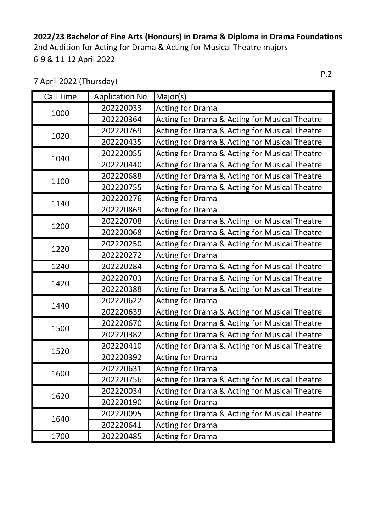### **2022/23 Bachelor of Fine Arts (Honours) in Drama & Diploma in Drama Foundations** 2nd Audition for Acting for Drama & Acting for Musical Theatre majors

6-9 & 11-12 April 2022

7 April 2022 (Thursday)

| <b>Call Time</b> | Application No. | Major(s)                                                 |
|------------------|-----------------|----------------------------------------------------------|
| 1000             | 202220033       | <b>Acting for Drama</b>                                  |
|                  | 202220364       | <b>Acting for Drama &amp; Acting for Musical Theatre</b> |
| 1020             | 202220769       | Acting for Drama & Acting for Musical Theatre            |
|                  | 202220435       | Acting for Drama & Acting for Musical Theatre            |
| 1040             | 202220055       | Acting for Drama & Acting for Musical Theatre            |
|                  | 202220440       | Acting for Drama & Acting for Musical Theatre            |
| 1100             | 202220688       | <b>Acting for Drama &amp; Acting for Musical Theatre</b> |
|                  | 202220755       | Acting for Drama & Acting for Musical Theatre            |
| 1140             | 202220276       | <b>Acting for Drama</b>                                  |
|                  | 202220869       | <b>Acting for Drama</b>                                  |
| 1200             | 202220708       | <b>Acting for Drama &amp; Acting for Musical Theatre</b> |
|                  | 202220068       | Acting for Drama & Acting for Musical Theatre            |
| 1220             | 202220250       | Acting for Drama & Acting for Musical Theatre            |
|                  | 202220272       | <b>Acting for Drama</b>                                  |
| 1240             | 202220284       | Acting for Drama & Acting for Musical Theatre            |
| 1420             | 202220703       | Acting for Drama & Acting for Musical Theatre            |
|                  | 202220388       | Acting for Drama & Acting for Musical Theatre            |
| 1440             | 202220622       | <b>Acting for Drama</b>                                  |
|                  | 202220639       | Acting for Drama & Acting for Musical Theatre            |
| 1500             | 202220670       | Acting for Drama & Acting for Musical Theatre            |
|                  | 202220382       | Acting for Drama & Acting for Musical Theatre            |
| 1520             | 202220410       | Acting for Drama & Acting for Musical Theatre            |
|                  | 202220392       | <b>Acting for Drama</b>                                  |
| 1600             | 202220631       | <b>Acting for Drama</b>                                  |
|                  | 202220756       | Acting for Drama & Acting for Musical Theatre            |
| 1620             | 202220034       | Acting for Drama & Acting for Musical Theatre            |
|                  | 202220190       | <b>Acting for Drama</b>                                  |
| 1640             | 202220095       | Acting for Drama & Acting for Musical Theatre            |
|                  | 202220641       | <b>Acting for Drama</b>                                  |
| 1700             | 202220485       | <b>Acting for Drama</b>                                  |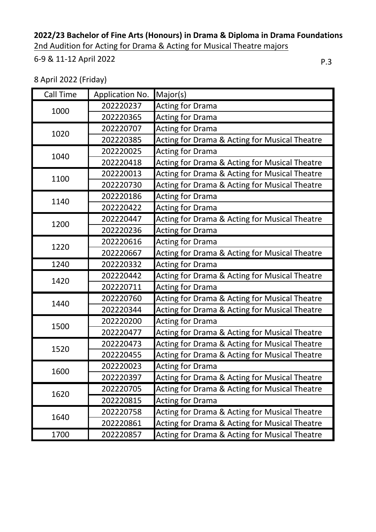2nd Audition for Acting for Drama & Acting for Musical Theatre majors

#### 6-9 & 11-12 April 2022

8 April 2022 (Friday)

| Call Time | Application No. | Major(s)                                                 |
|-----------|-----------------|----------------------------------------------------------|
| 1000      | 202220237       | <b>Acting for Drama</b>                                  |
|           | 202220365       | <b>Acting for Drama</b>                                  |
| 1020      | 202220707       | <b>Acting for Drama</b>                                  |
|           | 202220385       | <b>Acting for Drama &amp; Acting for Musical Theatre</b> |
| 1040      | 202220025       | <b>Acting for Drama</b>                                  |
|           | 202220418       | <b>Acting for Drama &amp; Acting for Musical Theatre</b> |
| 1100      | 202220013       | <b>Acting for Drama &amp; Acting for Musical Theatre</b> |
|           | 202220730       | <b>Acting for Drama &amp; Acting for Musical Theatre</b> |
| 1140      | 202220186       | <b>Acting for Drama</b>                                  |
|           | 202220422       | <b>Acting for Drama</b>                                  |
| 1200      | 202220447       | Acting for Drama & Acting for Musical Theatre            |
|           | 202220236       | <b>Acting for Drama</b>                                  |
| 1220      | 202220616       | <b>Acting for Drama</b>                                  |
|           | 202220667       | <b>Acting for Drama &amp; Acting for Musical Theatre</b> |
| 1240      | 202220332       | <b>Acting for Drama</b>                                  |
| 1420      | 202220442       | Acting for Drama & Acting for Musical Theatre            |
|           | 202220711       | <b>Acting for Drama</b>                                  |
|           | 202220760       | Acting for Drama & Acting for Musical Theatre            |
| 1440      | 202220344       | Acting for Drama & Acting for Musical Theatre            |
|           | 202220200       | <b>Acting for Drama</b>                                  |
| 1500      | 202220477       | <b>Acting for Drama &amp; Acting for Musical Theatre</b> |
| 1520      | 202220473       | <b>Acting for Drama &amp; Acting for Musical Theatre</b> |
|           | 202220455       | Acting for Drama & Acting for Musical Theatre            |
| 1600      | 202220023       | <b>Acting for Drama</b>                                  |
|           | 202220397       | <b>Acting for Drama &amp; Acting for Musical Theatre</b> |
| 1620      | 202220705       | <b>Acting for Drama &amp; Acting for Musical Theatre</b> |
|           | 202220815       | <b>Acting for Drama</b>                                  |
| 1640      | 202220758       | <b>Acting for Drama &amp; Acting for Musical Theatre</b> |
|           | 202220861       | <b>Acting for Drama &amp; Acting for Musical Theatre</b> |
| 1700      | 202220857       | Acting for Drama & Acting for Musical Theatre            |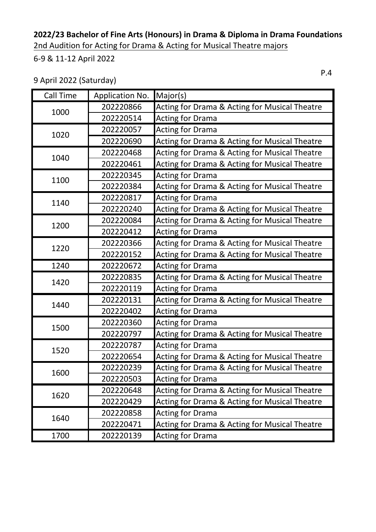2nd Audition for Acting for Drama & Acting for Musical Theatre majors

6-9 & 11-12 April 2022

9 April 2022 (Saturday)

| <b>Call Time</b> | Application No. | Major(s)                                                 |
|------------------|-----------------|----------------------------------------------------------|
| 1000             | 202220866       | Acting for Drama & Acting for Musical Theatre            |
|                  | 202220514       | Acting for Drama                                         |
| 1020             | 202220057       | <b>Acting for Drama</b>                                  |
|                  | 202220690       | <b>Acting for Drama &amp; Acting for Musical Theatre</b> |
| 1040             | 202220468       | <b>Acting for Drama &amp; Acting for Musical Theatre</b> |
|                  | 202220461       | <b>Acting for Drama &amp; Acting for Musical Theatre</b> |
| 1100             | 202220345       | Acting for Drama                                         |
|                  | 202220384       | <b>Acting for Drama &amp; Acting for Musical Theatre</b> |
|                  | 202220817       | <b>Acting for Drama</b>                                  |
| 1140             | 202220240       | <b>Acting for Drama &amp; Acting for Musical Theatre</b> |
| 1200             | 202220084       | <b>Acting for Drama &amp; Acting for Musical Theatre</b> |
|                  | 202220412       | <b>Acting for Drama</b>                                  |
| 1220             | 202220366       | Acting for Drama & Acting for Musical Theatre            |
|                  | 202220152       | <b>Acting for Drama &amp; Acting for Musical Theatre</b> |
| 1240             | 202220672       | <b>Acting for Drama</b>                                  |
| 1420             | 202220835       | <b>Acting for Drama &amp; Acting for Musical Theatre</b> |
|                  | 202220119       | <b>Acting for Drama</b>                                  |
|                  | 202220131       | <b>Acting for Drama &amp; Acting for Musical Theatre</b> |
| 1440             | 202220402       | <b>Acting for Drama</b>                                  |
| 1500             | 202220360       | <b>Acting for Drama</b>                                  |
|                  | 202220797       | <b>Acting for Drama &amp; Acting for Musical Theatre</b> |
| 1520             | 202220787       | <b>Acting for Drama</b>                                  |
|                  | 202220654       | Acting for Drama & Acting for Musical Theatre            |
| 1600             | 202220239       | Acting for Drama & Acting for Musical Theatre            |
|                  | 202220503       | <b>Acting for Drama</b>                                  |
| 1620             | 202220648       | Acting for Drama & Acting for Musical Theatre            |
|                  | 202220429       | Acting for Drama & Acting for Musical Theatre            |
| 1640             | 202220858       | <b>Acting for Drama</b>                                  |
|                  | 202220471       | Acting for Drama & Acting for Musical Theatre            |
| 1700             | 202220139       | <b>Acting for Drama</b>                                  |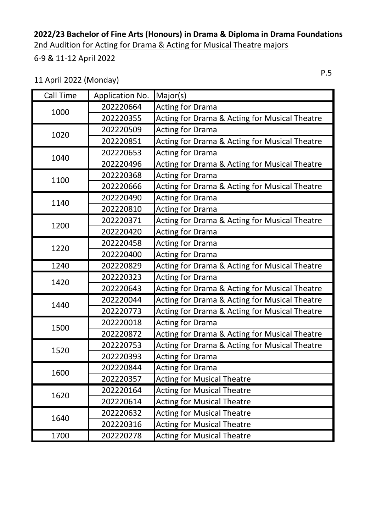**2022/23 Bachelor of Fine Arts (Honours) in Drama & Diploma in Drama Foundations** 2nd Audition for Acting for Drama & Acting for Musical Theatre majors

6-9 & 11-12 April 2022

11 April 2022 (Monday)

| <b>Call Time</b> | Application No. | Major(s)                                                 |
|------------------|-----------------|----------------------------------------------------------|
| 1000             | 202220664       | Acting for Drama                                         |
|                  | 202220355       | <b>Acting for Drama &amp; Acting for Musical Theatre</b> |
| 1020             | 202220509       | <b>Acting for Drama</b>                                  |
|                  | 202220851       | <b>Acting for Drama &amp; Acting for Musical Theatre</b> |
| 1040             | 202220653       | <b>Acting for Drama</b>                                  |
|                  | 202220496       | <b>Acting for Drama &amp; Acting for Musical Theatre</b> |
|                  | 202220368       | <b>Acting for Drama</b>                                  |
| 1100             | 202220666       | <b>Acting for Drama &amp; Acting for Musical Theatre</b> |
| 1140             | 202220490       | <b>Acting for Drama</b>                                  |
|                  | 202220810       | <b>Acting for Drama</b>                                  |
| 1200             | 202220371       | <b>Acting for Drama &amp; Acting for Musical Theatre</b> |
|                  | 202220420       | <b>Acting for Drama</b>                                  |
| 1220             | 202220458       | <b>Acting for Drama</b>                                  |
|                  | 202220400       | <b>Acting for Drama</b>                                  |
| 1240             | 202220829       | <b>Acting for Drama &amp; Acting for Musical Theatre</b> |
| 1420             | 202220323       | <b>Acting for Drama</b>                                  |
|                  | 202220643       | <b>Acting for Drama &amp; Acting for Musical Theatre</b> |
|                  | 202220044       | <b>Acting for Drama &amp; Acting for Musical Theatre</b> |
| 1440             | 202220773       | <b>Acting for Drama &amp; Acting for Musical Theatre</b> |
| 1500             | 202220018       | <b>Acting for Drama</b>                                  |
|                  | 202220872       | Acting for Drama & Acting for Musical Theatre            |
| 1520             | 202220753       | Acting for Drama & Acting for Musical Theatre            |
|                  | 202220393       | <b>Acting for Drama</b>                                  |
| 1600             | 202220844       | <b>Acting for Drama</b>                                  |
|                  | 202220357       | <b>Acting for Musical Theatre</b>                        |
| 1620             | 202220164       | <b>Acting for Musical Theatre</b>                        |
|                  | 202220614       | <b>Acting for Musical Theatre</b>                        |
| 1640             | 202220632       | <b>Acting for Musical Theatre</b>                        |
|                  | 202220316       | <b>Acting for Musical Theatre</b>                        |
| 1700             | 202220278       | <b>Acting for Musical Theatre</b>                        |